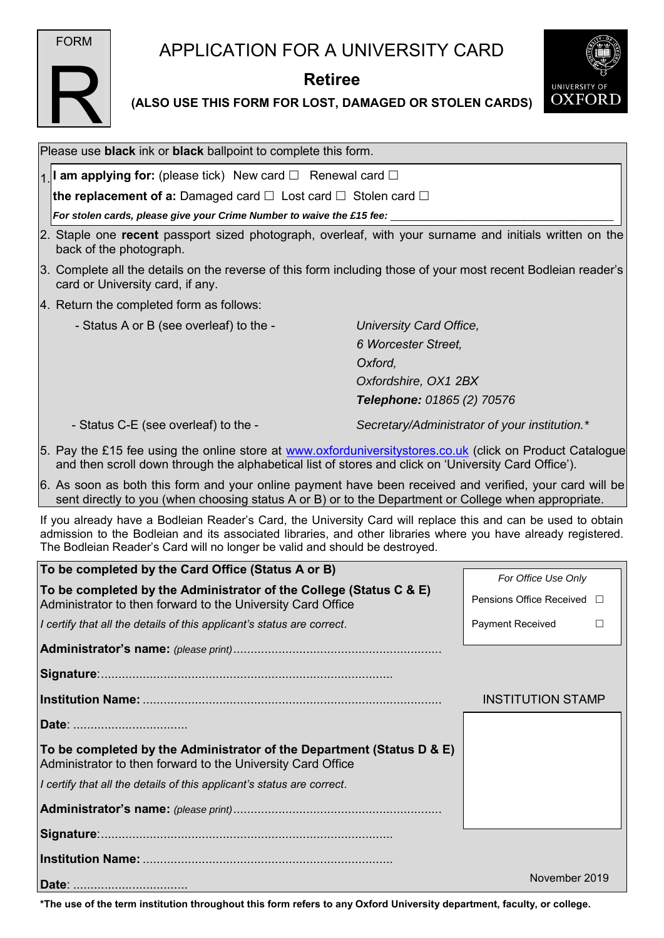

R

## APPLICATION FOR A UNIVERSITY CARD

## **Retiree**



**(ALSO USE THIS FORM FOR LOST, DAMAGED OR STOLEN CARDS)** 

| Please use <b>black</b> ink or <b>black</b> ballpoint to complete this form.                                                                                                                                                                                                                                   |                                                    |
|----------------------------------------------------------------------------------------------------------------------------------------------------------------------------------------------------------------------------------------------------------------------------------------------------------------|----------------------------------------------------|
| 1. <b>I am applying for:</b> (please tick) New card $\Box$ Renewal card $\Box$                                                                                                                                                                                                                                 |                                                    |
| <b>the replacement of a:</b> Damaged card $\Box$ Lost card $\Box$ Stolen card $\Box$                                                                                                                                                                                                                           |                                                    |
| For stolen cards, please give your Crime Number to waive the £15 fee:                                                                                                                                                                                                                                          |                                                    |
| 2. Staple one recent passport sized photograph, overleaf, with your surname and initials written on the<br>back of the photograph.                                                                                                                                                                             |                                                    |
| 3. Complete all the details on the reverse of this form including those of your most recent Bodleian reader's<br>card or University card, if any.                                                                                                                                                              |                                                    |
| 4. Return the completed form as follows:                                                                                                                                                                                                                                                                       |                                                    |
| - Status A or B (see overleaf) to the -                                                                                                                                                                                                                                                                        | University Card Office,                            |
|                                                                                                                                                                                                                                                                                                                | 6 Worcester Street,                                |
| Oxford,                                                                                                                                                                                                                                                                                                        |                                                    |
|                                                                                                                                                                                                                                                                                                                | Oxfordshire, OX1 2BX<br>Telephone: 01865 (2) 70576 |
| - Status C-E (see overleaf) to the -                                                                                                                                                                                                                                                                           | Secretary/Administrator of your institution.*      |
| 5. Pay the £15 fee using the online store at www.oxforduniversitystores.co.uk (click on Product Catalogue<br>and then scroll down through the alphabetical list of stores and click on 'University Card Office').                                                                                              |                                                    |
| 6. As soon as both this form and your online payment have been received and verified, your card will be<br>sent directly to you (when choosing status A or B) or to the Department or College when appropriate.                                                                                                |                                                    |
| If you already have a Bodleian Reader's Card, the University Card will replace this and can be used to obtain<br>admission to the Bodleian and its associated libraries, and other libraries where you have already registered.<br>The Bodleian Reader's Card will no longer be valid and should be destroyed. |                                                    |
| To be completed by the Card Office (Status A or B)                                                                                                                                                                                                                                                             | For Office Use Only                                |
| To be completed by the Administrator of the College (Status C & E)<br>Administrator to then forward to the University Card Office                                                                                                                                                                              | Pensions Office Received □                         |
| I certify that all the details of this applicant's status are correct.                                                                                                                                                                                                                                         | Payment Received<br>$\Box$                         |
|                                                                                                                                                                                                                                                                                                                |                                                    |
|                                                                                                                                                                                                                                                                                                                |                                                    |
|                                                                                                                                                                                                                                                                                                                | <b>INSTITUTION STAMP</b>                           |
| Date:                                                                                                                                                                                                                                                                                                          |                                                    |
| To be completed by the Administrator of the Department (Status D & E)<br>Administrator to then forward to the University Card Office                                                                                                                                                                           |                                                    |
| I certify that all the details of this applicant's status are correct.                                                                                                                                                                                                                                         |                                                    |
|                                                                                                                                                                                                                                                                                                                |                                                    |
|                                                                                                                                                                                                                                                                                                                |                                                    |
|                                                                                                                                                                                                                                                                                                                |                                                    |
| Date:                                                                                                                                                                                                                                                                                                          | November 2019                                      |

**\*The use of the term institution throughout this form refers to any Oxford University department, faculty, or college.**